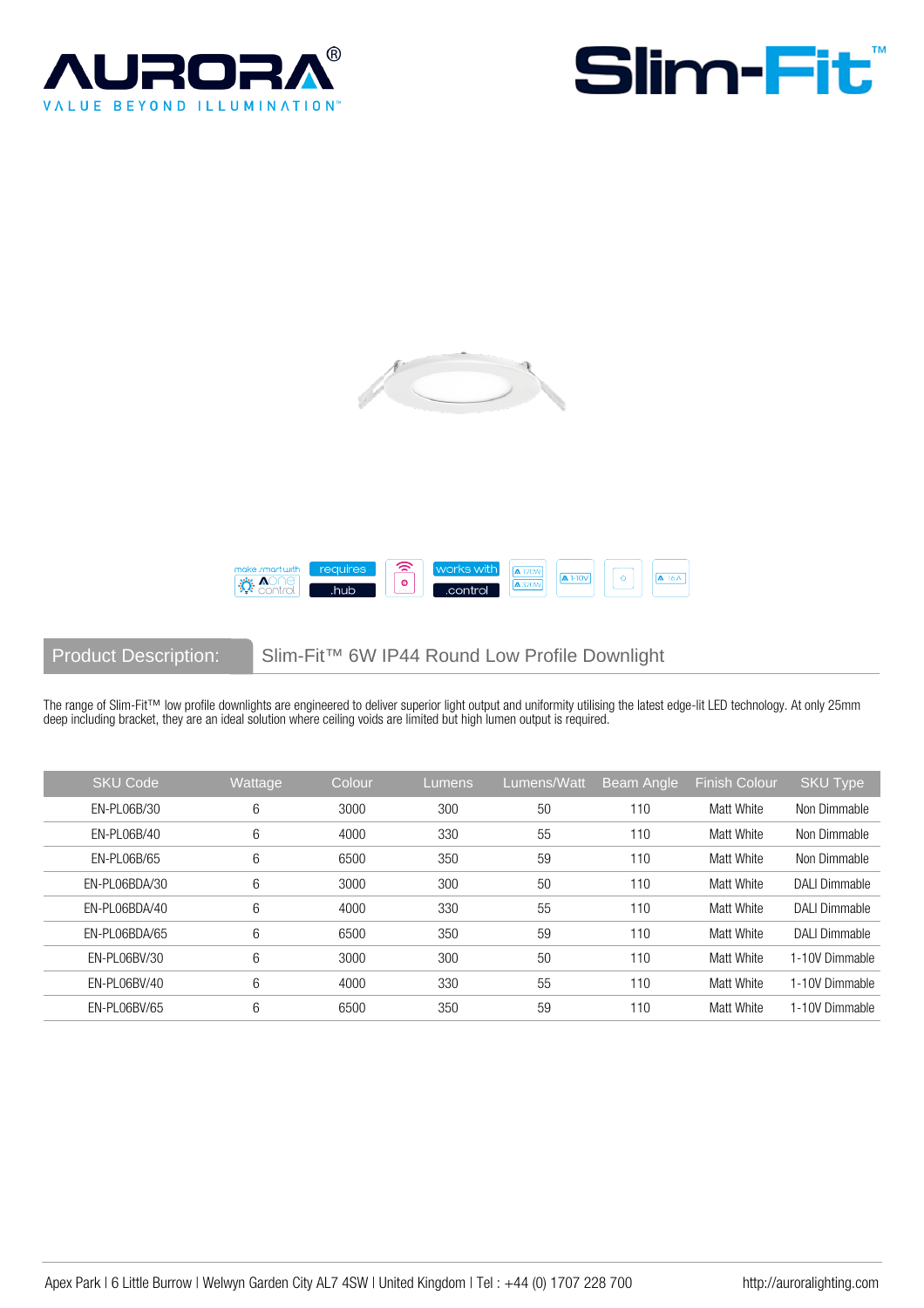







Product Description: Slim-Fit™ 6W IP44 Round Low Profile Downlight

The range of Slim-Fit™ low profile downlights are engineered to deliver superior light output and uniformity utilising the latest edge-lit LED technology. At only 25mm deep including bracket, they are an ideal solution where ceiling voids are limited but high lumen output is required.

| <b>SKU Code</b> | Wattage | Colour | 'Lumens, | Lumens/Watt | Beam Angle | Finish Colour | <b>SKU Type</b>      |
|-----------------|---------|--------|----------|-------------|------------|---------------|----------------------|
| EN-PL06B/30     | 6       | 3000   | 300      | 50          | 110        | Matt White    | Non Dimmable         |
| EN-PL06B/40     | 6       | 4000   | 330      | 55          | 110        | Matt White    | Non Dimmable         |
| EN-PL06B/65     | 6       | 6500   | 350      | 59          | 110        | Matt White    | Non Dimmable         |
| EN-PL06BDA/30   | 6       | 3000   | 300      | 50          | 110        | Matt White    | <b>DALI Dimmable</b> |
| EN-PL06BDA/40   | 6       | 4000   | 330      | 55          | 110        | Matt White    | DALI Dimmable        |
| EN-PL06BDA/65   | 6       | 6500   | 350      | 59          | 110        | Matt White    | <b>DALI Dimmable</b> |
| EN-PL06BV/30    | 6       | 3000   | 300      | 50          | 110        | Matt White    | 1-10V Dimmable       |
| EN-PL06BV/40    | 6       | 4000   | 330      | 55          | 110        | Matt White    | 1-10V Dimmable       |
| EN-PL06BV/65    | 6       | 6500   | 350      | 59          | 110        | Matt White    | 1-10V Dimmable       |